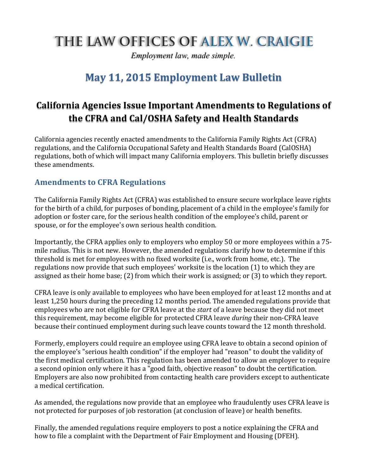# THE LAW OFFICES OF ALEX W. CRAIGIE

*Employment law, made simple.*

## **May 11, 2015 Employment Law Bulletin**

### **California Agencies Issue Important Amendments to Regulations of the CFRA and Cal/OSHA Safety and Health Standards**

California agencies recently enacted amendments to the California Family Rights Act (CFRA) regulations, and the California Occupational Safety and Health Standards Board (CalOSHA) regulations, both of which will impact many California employers. This bulletin briefly discusses these amendments.

#### **Amendments to CFRA Regulations**

The California Family Rights Act (CFRA) was established to ensure secure workplace leave rights for the birth of a child, for purposes of bonding, placement of a child in the employee's family for adoption or foster care, for the serious health condition of the employee's child, parent or spouse, or for the employee's own serious health condition.

Importantly, the CFRA applies only to employers who employ 50 or more employees within a 75mile radius. This is not new. However, the amended regulations clarify how to determine if this threshold is met for employees with no fixed worksite (i.e., work from home, etc.). The regulations now provide that such employees' worksite is the location (1) to which they are assigned as their home base; (2) from which their work is assigned; or (3) to which they report.

CFRA leave is only available to employees who have been employed for at least 12 months and at least 1,250 hours during the preceding 12 months period. The amended regulations provide that employees who are not eligible for CFRA leave at the *start* of a leave because they did not meet this requirement, may become eligible for protected CFRA leave *during* their non-CFRA leave because their continued employment during such leave counts toward the 12 month threshold.

Formerly, employers could require an employee using CFRA leave to obtain a second opinion of the employee's "serious health condition" if the employer had "reason" to doubt the validity of the first medical certification. This regulation has been amended to allow an employer to require a second opinion only where it has a "good faith, objective reason" to doubt the certification. Employers are also now prohibited from contacting health care providers except to authenticate a medical certification.

As amended, the regulations now provide that an employee who fraudulently uses CFRA leave is not protected for purposes of job restoration (at conclusion of leave) or health benefits.

Finally, the amended regulations require employers to post a notice explaining the CFRA and how to file a complaint with the Department of Fair Employment and Housing (DFEH).